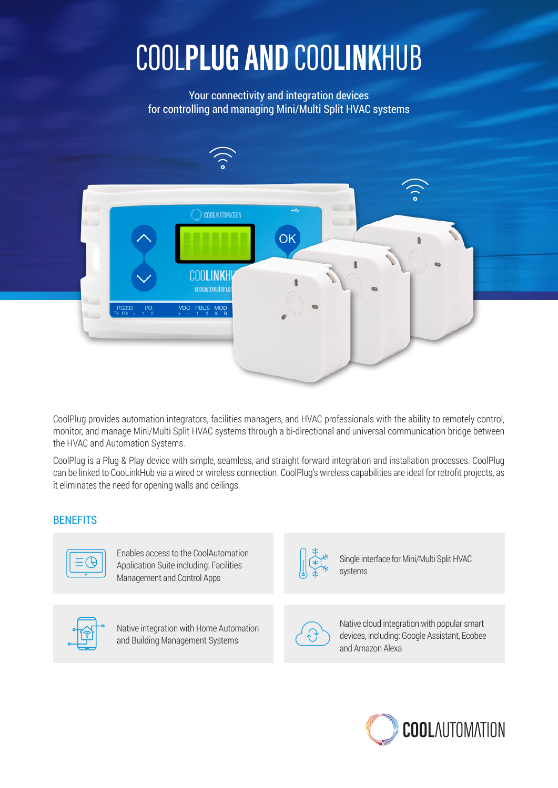## COO**LINK**HUB **AND** COOL**PLUG**

Your connectivity and integration devices for controlling and managing Mini/Multi Split HVAC systems



CoolPlug provides automation integrators, facilities managers, and HVAC professionals with the ability to remotely control, monitor, and manage Mini/Multi Split HVAC systems through a bi-directional and universal communication bridge between the HVAC and Automation Systems.

CoolPlug is a Plug & Play device with simple, seamless, and straight-forward integration and installation processes. CoolPlug can be linked to CooLinkHub via a wired or wireless connection. CoolPlug's wireless capabilities are ideal for retrofit projects, as it eliminates the need for opening walls and ceilings.

## **BENEFITS**



Enables access to the CoolAutomation Application Suite including: Facilities Management and Control Apps



Native integration with Home Automation and Building Management Systems



Single interface for Mini/Multi Split HVAC systems



Native cloud integration with popular smart devices, including: Google Assistant, Ecobee and Amazon Alexa